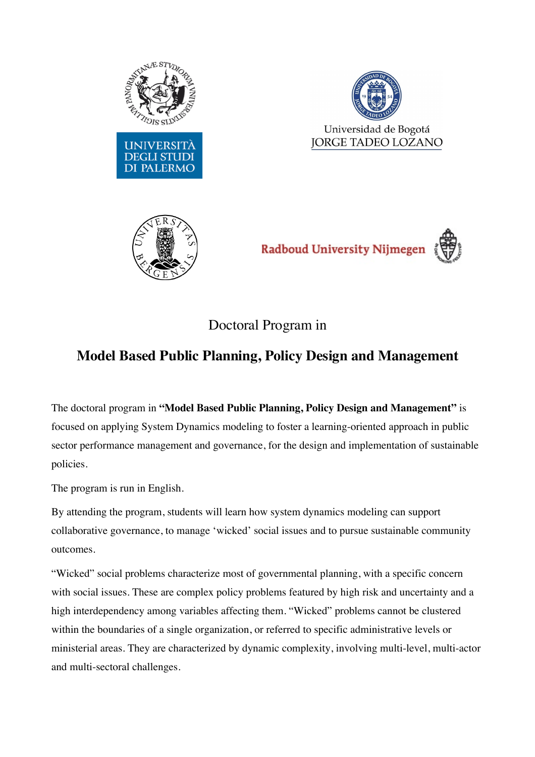





Radboud University Nijmegen

Doctoral Program in

## **Model Based Public Planning, Policy Design and Management**

The doctoral program in **"Model Based Public Planning, Policy Design and Management"** is focused on applying System Dynamics modeling to foster a learning-oriented approach in public sector performance management and governance, for the design and implementation of sustainable policies.

The program is run in English.

By attending the program, students will learn how system dynamics modeling can support collaborative governance, to manage 'wicked' social issues and to pursue sustainable community outcomes.

"Wicked" social problems characterize most of governmental planning, with a specific concern with social issues. These are complex policy problems featured by high risk and uncertainty and a high interdependency among variables affecting them. "Wicked" problems cannot be clustered within the boundaries of a single organization, or referred to specific administrative levels or ministerial areas. They are characterized by dynamic complexity, involving multi-level, multi-actor and multi-sectoral challenges.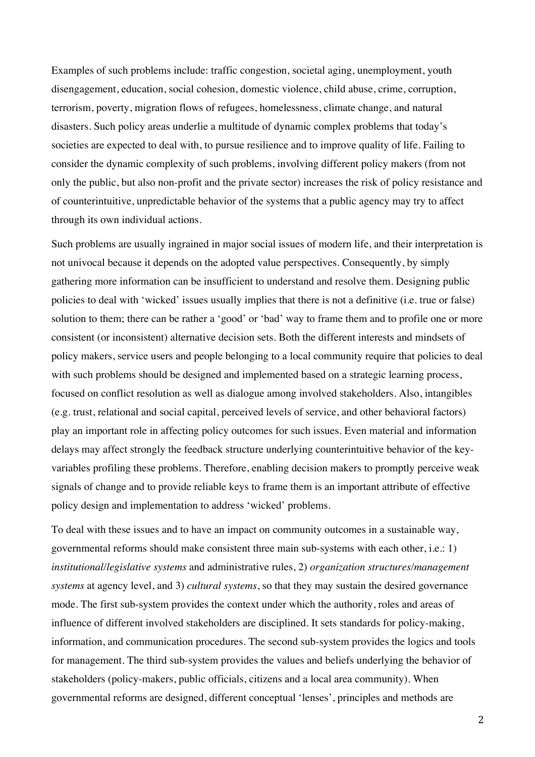Examples of such problems include: traffic congestion, societal aging, unemployment, youth disengagement, education, social cohesion, domestic violence, child abuse, crime, corruption, terrorism, poverty, migration flows of refugees, homelessness, climate change, and natural disasters. Such policy areas underlie a multitude of dynamic complex problems that today's societies are expected to deal with, to pursue resilience and to improve quality of life. Failing to consider the dynamic complexity of such problems, involving different policy makers (from not only the public, but also non-profit and the private sector) increases the risk of policy resistance and of counterintuitive, unpredictable behavior of the systems that a public agency may try to affect through its own individual actions.

Such problems are usually ingrained in major social issues of modern life, and their interpretation is not univocal because it depends on the adopted value perspectives. Consequently, by simply gathering more information can be insufficient to understand and resolve them. Designing public policies to deal with 'wicked' issues usually implies that there is not a definitive (i.e. true or false) solution to them; there can be rather a 'good' or 'bad' way to frame them and to profile one or more consistent (or inconsistent) alternative decision sets. Both the different interests and mindsets of policy makers, service users and people belonging to a local community require that policies to deal with such problems should be designed and implemented based on a strategic learning process, focused on conflict resolution as well as dialogue among involved stakeholders. Also, intangibles (e.g. trust, relational and social capital, perceived levels of service, and other behavioral factors) play an important role in affecting policy outcomes for such issues. Even material and information delays may affect strongly the feedback structure underlying counterintuitive behavior of the keyvariables profiling these problems. Therefore, enabling decision makers to promptly perceive weak signals of change and to provide reliable keys to frame them is an important attribute of effective policy design and implementation to address 'wicked' problems.

To deal with these issues and to have an impact on community outcomes in a sustainable way, governmental reforms should make consistent three main sub-systems with each other, i.e.: 1) *institutional/legislative systems* and administrative rules, 2) *organization structures/management systems* at agency level, and 3) *cultural systems*, so that they may sustain the desired governance mode. The first sub-system provides the context under which the authority, roles and areas of influence of different involved stakeholders are disciplined. It sets standards for policy-making, information, and communication procedures. The second sub-system provides the logics and tools for management. The third sub-system provides the values and beliefs underlying the behavior of stakeholders (policy-makers, public officials, citizens and a local area community). When governmental reforms are designed, different conceptual 'lenses', principles and methods are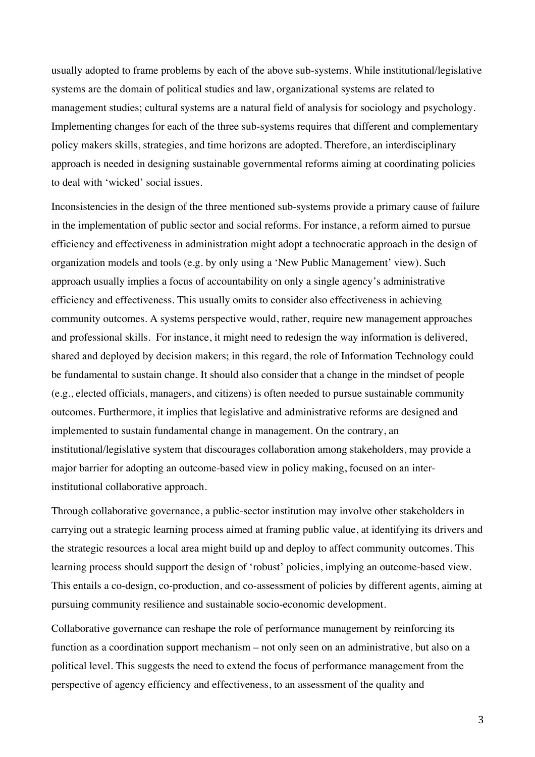usually adopted to frame problems by each of the above sub-systems. While institutional/legislative systems are the domain of political studies and law, organizational systems are related to management studies; cultural systems are a natural field of analysis for sociology and psychology. Implementing changes for each of the three sub-systems requires that different and complementary policy makers skills, strategies, and time horizons are adopted. Therefore, an interdisciplinary approach is needed in designing sustainable governmental reforms aiming at coordinating policies to deal with 'wicked' social issues.

Inconsistencies in the design of the three mentioned sub-systems provide a primary cause of failure in the implementation of public sector and social reforms. For instance, a reform aimed to pursue efficiency and effectiveness in administration might adopt a technocratic approach in the design of organization models and tools (e.g. by only using a 'New Public Management' view). Such approach usually implies a focus of accountability on only a single agency's administrative efficiency and effectiveness. This usually omits to consider also effectiveness in achieving community outcomes. A systems perspective would, rather, require new management approaches and professional skills. For instance, it might need to redesign the way information is delivered, shared and deployed by decision makers; in this regard, the role of Information Technology could be fundamental to sustain change. It should also consider that a change in the mindset of people (e.g., elected officials, managers, and citizens) is often needed to pursue sustainable community outcomes. Furthermore, it implies that legislative and administrative reforms are designed and implemented to sustain fundamental change in management. On the contrary, an institutional/legislative system that discourages collaboration among stakeholders, may provide a major barrier for adopting an outcome-based view in policy making, focused on an interinstitutional collaborative approach.

Through collaborative governance, a public-sector institution may involve other stakeholders in carrying out a strategic learning process aimed at framing public value, at identifying its drivers and the strategic resources a local area might build up and deploy to affect community outcomes. This learning process should support the design of 'robust' policies, implying an outcome-based view. This entails a co-design, co-production, and co-assessment of policies by different agents, aiming at pursuing community resilience and sustainable socio-economic development.

Collaborative governance can reshape the role of performance management by reinforcing its function as a coordination support mechanism – not only seen on an administrative, but also on a political level. This suggests the need to extend the focus of performance management from the perspective of agency efficiency and effectiveness, to an assessment of the quality and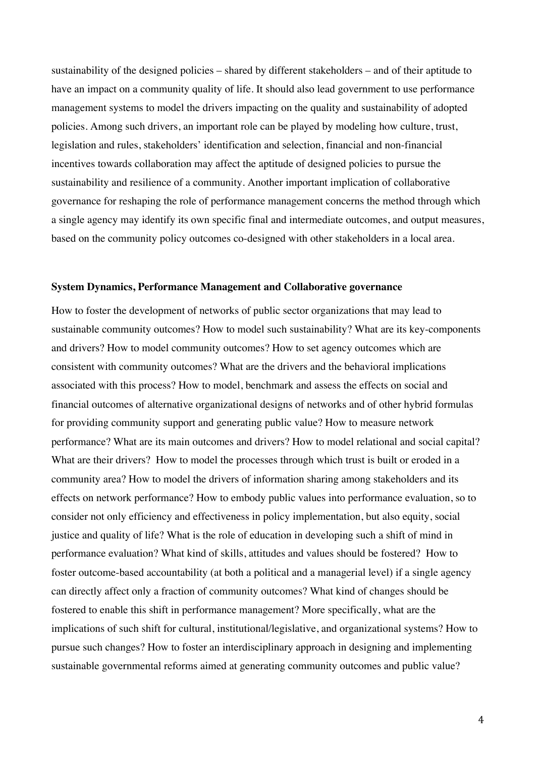sustainability of the designed policies – shared by different stakeholders – and of their aptitude to have an impact on a community quality of life. It should also lead government to use performance management systems to model the drivers impacting on the quality and sustainability of adopted policies. Among such drivers, an important role can be played by modeling how culture, trust, legislation and rules, stakeholders' identification and selection, financial and non-financial incentives towards collaboration may affect the aptitude of designed policies to pursue the sustainability and resilience of a community. Another important implication of collaborative governance for reshaping the role of performance management concerns the method through which a single agency may identify its own specific final and intermediate outcomes, and output measures, based on the community policy outcomes co-designed with other stakeholders in a local area.

## **System Dynamics, Performance Management and Collaborative governance**

How to foster the development of networks of public sector organizations that may lead to sustainable community outcomes? How to model such sustainability? What are its key-components and drivers? How to model community outcomes? How to set agency outcomes which are consistent with community outcomes? What are the drivers and the behavioral implications associated with this process? How to model, benchmark and assess the effects on social and financial outcomes of alternative organizational designs of networks and of other hybrid formulas for providing community support and generating public value? How to measure network performance? What are its main outcomes and drivers? How to model relational and social capital? What are their drivers? How to model the processes through which trust is built or eroded in a community area? How to model the drivers of information sharing among stakeholders and its effects on network performance? How to embody public values into performance evaluation, so to consider not only efficiency and effectiveness in policy implementation, but also equity, social justice and quality of life? What is the role of education in developing such a shift of mind in performance evaluation? What kind of skills, attitudes and values should be fostered? How to foster outcome-based accountability (at both a political and a managerial level) if a single agency can directly affect only a fraction of community outcomes? What kind of changes should be fostered to enable this shift in performance management? More specifically, what are the implications of such shift for cultural, institutional/legislative, and organizational systems? How to pursue such changes? How to foster an interdisciplinary approach in designing and implementing sustainable governmental reforms aimed at generating community outcomes and public value?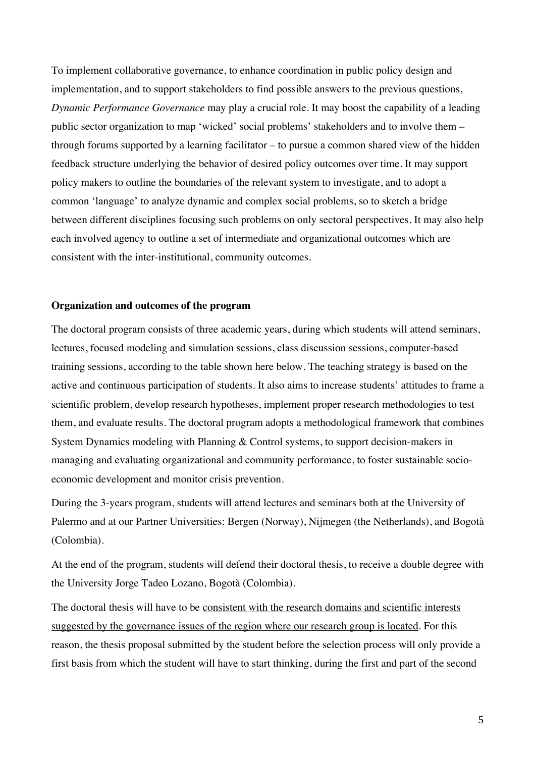To implement collaborative governance, to enhance coordination in public policy design and implementation, and to support stakeholders to find possible answers to the previous questions, *Dynamic Performance Governance* may play a crucial role. It may boost the capability of a leading public sector organization to map 'wicked' social problems' stakeholders and to involve them – through forums supported by a learning facilitator – to pursue a common shared view of the hidden feedback structure underlying the behavior of desired policy outcomes over time. It may support policy makers to outline the boundaries of the relevant system to investigate, and to adopt a common 'language' to analyze dynamic and complex social problems, so to sketch a bridge between different disciplines focusing such problems on only sectoral perspectives. It may also help each involved agency to outline a set of intermediate and organizational outcomes which are consistent with the inter-institutional, community outcomes.

## **Organization and outcomes of the program**

The doctoral program consists of three academic years, during which students will attend seminars, lectures, focused modeling and simulation sessions, class discussion sessions, computer-based training sessions, according to the table shown here below. The teaching strategy is based on the active and continuous participation of students. It also aims to increase students' attitudes to frame a scientific problem, develop research hypotheses, implement proper research methodologies to test them, and evaluate results. The doctoral program adopts a methodological framework that combines System Dynamics modeling with Planning & Control systems, to support decision-makers in managing and evaluating organizational and community performance, to foster sustainable socioeconomic development and monitor crisis prevention.

During the 3-years program, students will attend lectures and seminars both at the University of Palermo and at our Partner Universities: Bergen (Norway), Nijmegen (the Netherlands), and Bogotà (Colombia).

At the end of the program, students will defend their doctoral thesis, to receive a double degree with the University Jorge Tadeo Lozano, Bogotà (Colombia).

The doctoral thesis will have to be consistent with the research domains and scientific interests suggested by the governance issues of the region where our research group is located. For this reason, the thesis proposal submitted by the student before the selection process will only provide a first basis from which the student will have to start thinking, during the first and part of the second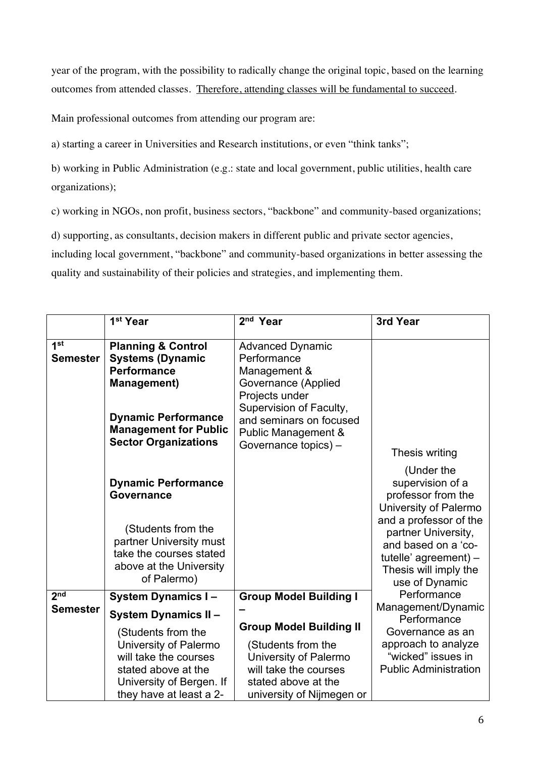year of the program, with the possibility to radically change the original topic, based on the learning outcomes from attended classes. Therefore, attending classes will be fundamental to succeed.

Main professional outcomes from attending our program are:

a) starting a career in Universities and Research institutions, or even "think tanks";

b) working in Public Administration (e.g.: state and local government, public utilities, health care organizations);

c) working in NGOs, non profit, business sectors, "backbone" and community-based organizations;

d) supporting, as consultants, decision makers in different public and private sector agencies,

including local government, "backbone" and community-based organizations in better assessing the quality and sustainability of their policies and strategies, and implementing them.

|                 | 1 <sup>st</sup> Year                          | 2 <sup>nd</sup> Year           | 3rd Year                          |
|-----------------|-----------------------------------------------|--------------------------------|-----------------------------------|
|                 |                                               |                                |                                   |
| 1 <sub>st</sub> | <b>Planning &amp; Control</b>                 | <b>Advanced Dynamic</b>        |                                   |
| <b>Semester</b> | <b>Systems (Dynamic</b>                       | Performance                    |                                   |
|                 | <b>Performance</b>                            | Management &                   |                                   |
|                 | <b>Management)</b>                            | Governance (Applied            |                                   |
|                 |                                               | Projects under                 |                                   |
|                 | <b>Dynamic Performance</b>                    | Supervision of Faculty,        |                                   |
|                 | <b>Management for Public</b>                  | and seminars on focused        |                                   |
|                 | <b>Sector Organizations</b>                   | Public Management &            |                                   |
|                 |                                               | Governance topics) -           | Thesis writing                    |
|                 |                                               |                                | (Under the                        |
|                 | <b>Dynamic Performance</b>                    |                                | supervision of a                  |
|                 | <b>Governance</b>                             |                                | professor from the                |
|                 |                                               |                                | University of Palermo             |
|                 |                                               |                                | and a professor of the            |
|                 | (Students from the<br>partner University must |                                | partner University,               |
|                 | take the courses stated                       |                                | and based on a 'co-               |
|                 | above at the University                       |                                | tutelle' agreement) $-$           |
|                 | of Palermo)                                   |                                | Thesis will imply the             |
|                 |                                               |                                | use of Dynamic                    |
| 2 <sup>nd</sup> | <b>System Dynamics I-</b>                     | <b>Group Model Building I</b>  | Performance                       |
| <b>Semester</b> | <b>System Dynamics II-</b>                    |                                | Management/Dynamic<br>Performance |
|                 | (Students from the                            | <b>Group Model Building II</b> | Governance as an                  |
|                 | University of Palermo                         | (Students from the             | approach to analyze               |
|                 | will take the courses                         | University of Palermo          | "wicked" issues in                |
|                 | stated above at the                           | will take the courses          | <b>Public Administration</b>      |
|                 | University of Bergen. If                      | stated above at the            |                                   |
|                 | they have at least a 2-                       | university of Nijmegen or      |                                   |